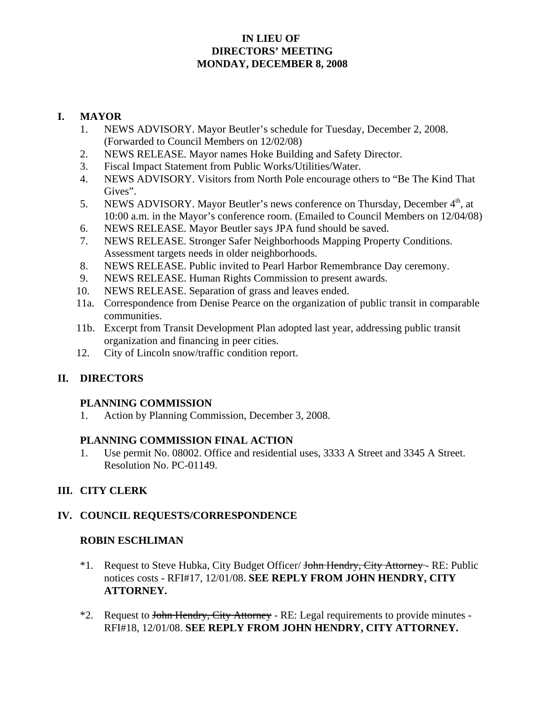### **IN LIEU OF DIRECTORS' MEETING MONDAY, DECEMBER 8, 2008**

#### **I. MAYOR**

- 1. NEWS ADVISORY. Mayor Beutler's schedule for Tuesday, December 2, 2008. (Forwarded to Council Members on 12/02/08)
- 2. NEWS RELEASE. Mayor names Hoke Building and Safety Director.
- 3. Fiscal Impact Statement from Public Works/Utilities/Water.
- 4. NEWS ADVISORY. Visitors from North Pole encourage others to "Be The Kind That Gives".
- 5. NEWS ADVISORY. Mayor Beutler's news conference on Thursday, December  $4<sup>th</sup>$ , at 10:00 a.m. in the Mayor's conference room. (Emailed to Council Members on 12/04/08)
- 6. NEWS RELEASE. Mayor Beutler says JPA fund should be saved.
- 7. NEWS RELEASE. Stronger Safer Neighborhoods Mapping Property Conditions. Assessment targets needs in older neighborhoods.
- 8. NEWS RELEASE. Public invited to Pearl Harbor Remembrance Day ceremony.
- 9. NEWS RELEASE. Human Rights Commission to present awards.
- 10. NEWS RELEASE. Separation of grass and leaves ended.
- 11a. Correspondence from Denise Pearce on the organization of public transit in comparable communities.
- 11b. Excerpt from Transit Development Plan adopted last year, addressing public transit organization and financing in peer cities.
- 12. City of Lincoln snow/traffic condition report.

### **II. DIRECTORS**

#### **PLANNING COMMISSION**

1. Action by Planning Commission, December 3, 2008.

### **PLANNING COMMISSION FINAL ACTION**

1. Use permit No. 08002. Office and residential uses, 3333 A Street and 3345 A Street. Resolution No. PC-01149.

### **III. CITY CLERK**

### **IV. COUNCIL REQUESTS/CORRESPONDENCE**

### **ROBIN ESCHLIMAN**

- <sup>\*</sup>1. Request to Steve Hubka, City Budget Officer/ John Hendry, City Attorney RE: Public notices costs - RFI#17, 12/01/08. **SEE REPLY FROM JOHN HENDRY, CITY ATTORNEY.**
- \*2. Request to John Hendry, City Attorney RE: Legal requirements to provide minutes -RFI#18, 12/01/08. **SEE REPLY FROM JOHN HENDRY, CITY ATTORNEY.**